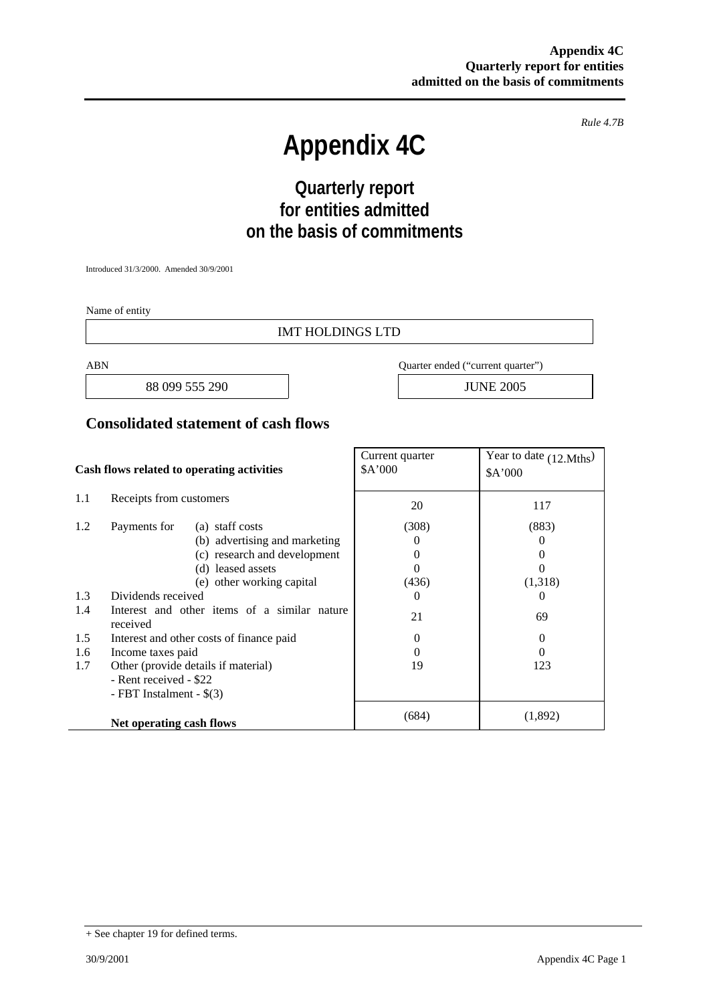*Rule 4.7B* 

# **Appendix 4C**

# **Quarterly report for entities admitted on the basis of commitments**

Introduced 31/3/2000. Amended 30/9/2001

Name of entity

#### IMT HOLDINGS LTD

88 099 555 290 **JUNE 2005** 

ABN Quarter ended ("current quarter")

#### **Consolidated statement of cash flows**

| Cash flows related to operating activities |                                                          | Current quarter<br>\$A'000 | Year to date (12.Mths)<br>\$A'000 |
|--------------------------------------------|----------------------------------------------------------|----------------------------|-----------------------------------|
| 1.1                                        | Receipts from customers                                  | 20                         | 117                               |
| 1.2                                        | (a) staff costs<br>Payments for                          | (308)                      | (883)                             |
|                                            | (b) advertising and marketing                            | $\Omega$                   | $\theta$                          |
|                                            | (c) research and development                             | $\Omega$                   | $_{0}$                            |
|                                            | (d) leased assets                                        | 0                          | 0                                 |
|                                            | (e) other working capital                                | (436)                      | (1,318)                           |
| 1.3                                        | Dividends received                                       | $\theta$                   | $\theta$                          |
| 1.4                                        | Interest and other items of a similar nature<br>received | 21                         | 69                                |
| 1.5                                        | Interest and other costs of finance paid                 | 0                          | $\theta$                          |
| 1.6                                        | Income taxes paid                                        | $\Omega$                   | $\Omega$                          |
| 1.7                                        | Other (provide details if material)                      | 19                         | 123                               |
|                                            | - Rent received - \$22                                   |                            |                                   |
|                                            | - FBT Instalment - \$(3)                                 |                            |                                   |
|                                            | Net operating cash flows                                 | (684)                      | (1,892)                           |

<sup>+</sup> See chapter 19 for defined terms.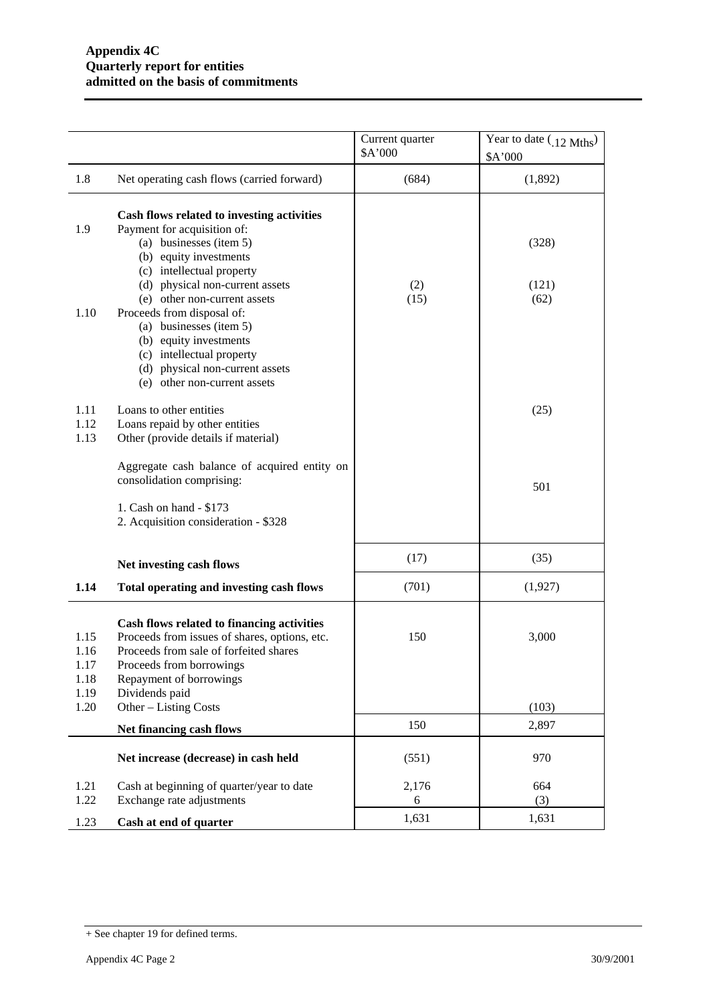|                                      |                                                                                                                                                                                                                                                                                         | Current quarter<br>\$A'000 | Year to date $(0.12 \text{ Mths})$<br>\$A'000 |
|--------------------------------------|-----------------------------------------------------------------------------------------------------------------------------------------------------------------------------------------------------------------------------------------------------------------------------------------|----------------------------|-----------------------------------------------|
| 1.8                                  | Net operating cash flows (carried forward)                                                                                                                                                                                                                                              | (684)                      | (1,892)                                       |
| 1.9<br>1.10                          | Cash flows related to investing activities<br>Payment for acquisition of:<br>(a) businesses (item 5)<br>(b) equity investments<br>(c) intellectual property<br>(d) physical non-current assets<br>(e) other non-current assets<br>Proceeds from disposal of:<br>(a) businesses (item 5) | (2)<br>(15)                | (328)<br>(121)<br>(62)                        |
|                                      | (b) equity investments<br>(c) intellectual property<br>(d) physical non-current assets<br>(e) other non-current assets                                                                                                                                                                  |                            |                                               |
| 1.11<br>1.12<br>1.13                 | Loans to other entities<br>Loans repaid by other entities<br>Other (provide details if material)                                                                                                                                                                                        |                            | (25)                                          |
|                                      | Aggregate cash balance of acquired entity on<br>consolidation comprising:                                                                                                                                                                                                               |                            | 501                                           |
|                                      | 1. Cash on hand - \$173<br>2. Acquisition consideration - \$328                                                                                                                                                                                                                         |                            |                                               |
|                                      | Net investing cash flows                                                                                                                                                                                                                                                                | (17)                       | (35)                                          |
| 1.14                                 | Total operating and investing cash flows                                                                                                                                                                                                                                                | (701)                      | (1,927)                                       |
| 1.15<br>1.16<br>1.17<br>1.18<br>1.19 | Cash flows related to financing activities<br>Proceeds from issues of shares, options, etc.<br>Proceeds from sale of forfeited shares<br>Proceeds from borrowings<br>Repayment of borrowings<br>Dividends paid                                                                          | 150                        | 3,000                                         |
| 1.20                                 | Other - Listing Costs                                                                                                                                                                                                                                                                   |                            | (103)                                         |
|                                      | Net financing cash flows                                                                                                                                                                                                                                                                | 150                        | 2,897                                         |
|                                      | Net increase (decrease) in cash held                                                                                                                                                                                                                                                    | (551)                      | 970                                           |
| 1.21<br>1.22                         | Cash at beginning of quarter/year to date<br>Exchange rate adjustments                                                                                                                                                                                                                  | 2,176<br>6                 | 664<br>(3)                                    |
| 1.23                                 | Cash at end of quarter                                                                                                                                                                                                                                                                  | 1,631                      | 1,631                                         |

<sup>+</sup> See chapter 19 for defined terms.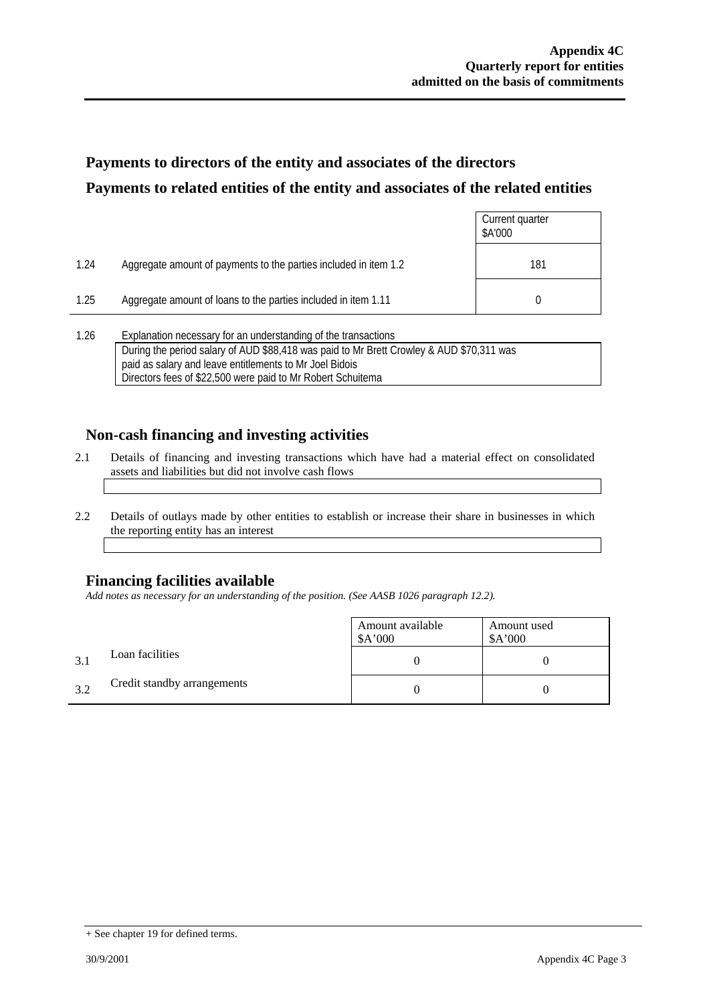# **Payments to directors of the entity and associates of the directors Payments to related entities of the entity and associates of the related entities**

|      |                                                                                                                                                                  | Current quarter<br>\$A'000 |
|------|------------------------------------------------------------------------------------------------------------------------------------------------------------------|----------------------------|
| 1.24 | Aggregate amount of payments to the parties included in item 1.2                                                                                                 | 181                        |
| 1.25 | Aggregate amount of loans to the parties included in item 1.11                                                                                                   |                            |
| 1.26 | Explanation necessary for an understanding of the transactions<br>During the neglected release of AUD 600-440 uses neighbor Mr Duett Opender 0, AUD 670-944 uses |                            |

| 1.ZU | <b>EXPIRIMENT LIBLESS EXPIRIT AND INTERNATIONAL CONTROLLER IN A LIBRAL CONTROLLER</b>    |  |
|------|------------------------------------------------------------------------------------------|--|
|      | During the period salary of AUD \$88,418 was paid to Mr Brett Crowley & AUD \$70,311 was |  |
|      | paid as salary and leave entitlements to Mr Joel Bidois                                  |  |
|      | Directors fees of \$22,500 were paid to Mr Robert Schuitema                              |  |

# **Non-cash financing and investing activities**

- 2.1 Details of financing and investing transactions which have had a material effect on consolidated assets and liabilities but did not involve cash flows
- 2.2 Details of outlays made by other entities to establish or increase their share in businesses in which the reporting entity has an interest

# **Financing facilities available**

*Add notes as necessary for an understanding of the position. (See AASB 1026 paragraph 12.2).* 

|     |                             | Amount available<br>\$A'000 | Amount used<br>A'000 |
|-----|-----------------------------|-----------------------------|----------------------|
| 3.1 | Loan facilities             |                             |                      |
| 3.2 | Credit standby arrangements |                             |                      |

<sup>+</sup> See chapter 19 for defined terms.